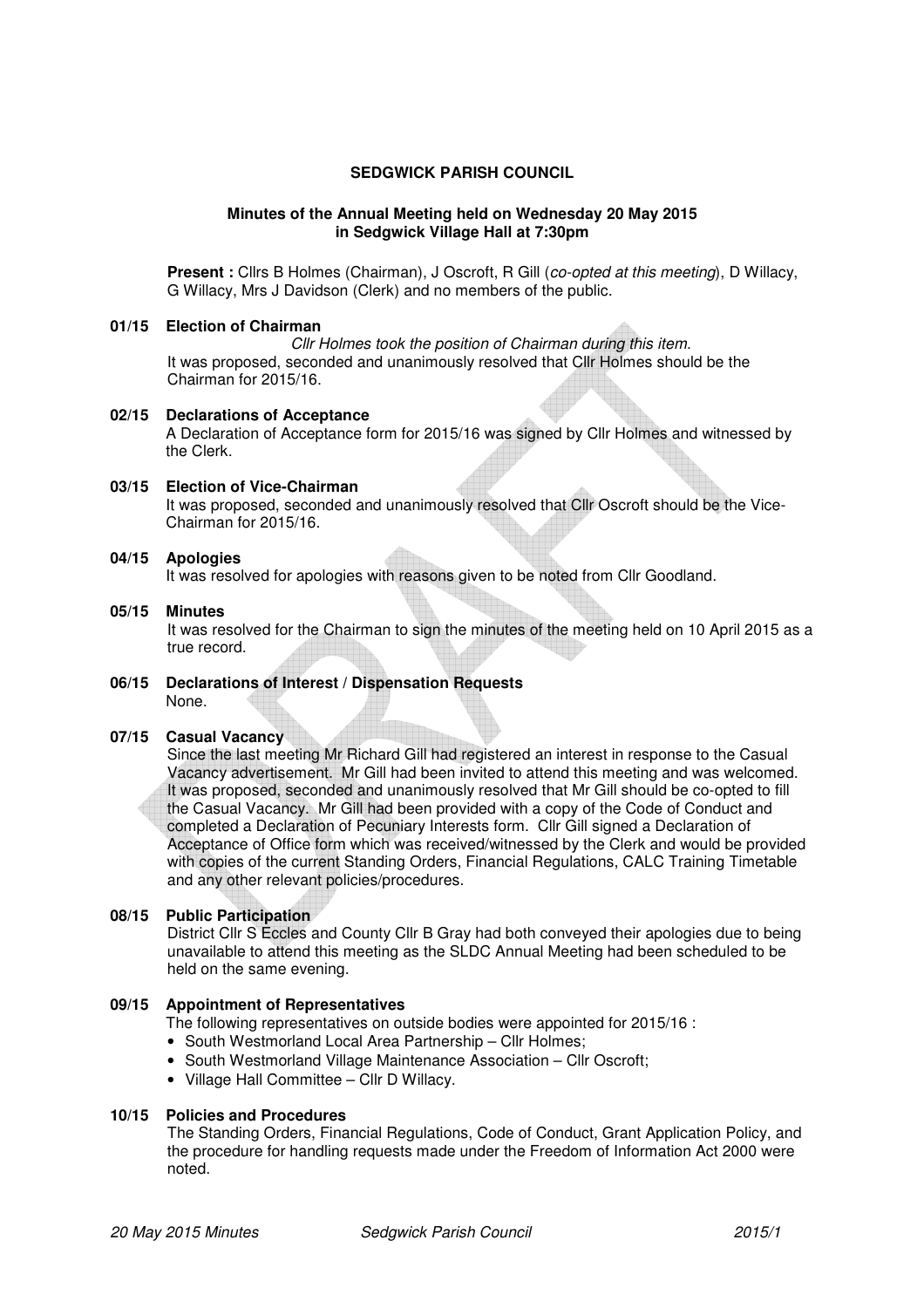## **SEDGWICK PARISH COUNCIL**

#### **Minutes of the Annual Meeting held on Wednesday 20 May 2015 in Sedgwick Village Hall at 7:30pm**

**Present :** Cllrs B Holmes (Chairman), J Oscroft, R Gill (*co-opted at this meeting*), D Willacy, G Willacy, Mrs J Davidson (Clerk) and no members of the public.

#### **01/15 Election of Chairman**

Cllr Holmes took the position of Chairman during this item. It was proposed, seconded and unanimously resolved that Cllr Holmes should be the Chairman for 2015/16.

#### **02/15 Declarations of Acceptance**

A Declaration of Acceptance form for 2015/16 was signed by Cllr Holmes and witnessed by the Clerk.

#### **03/15 Election of Vice-Chairman**

It was proposed, seconded and unanimously resolved that Cllr Oscroft should be the Vice-Chairman for 2015/16.

#### **04/15 Apologies**

It was resolved for apologies with reasons given to be noted from Cllr Goodland.

## **05/15 Minutes**

It was resolved for the Chairman to sign the minutes of the meeting held on 10 April 2015 as a true record.

#### **06/15 Declarations of Interest / Dispensation Requests**  None.

## **07/15 Casual Vacancy**

Since the last meeting Mr Richard Gill had registered an interest in response to the Casual Vacancy advertisement. Mr Gill had been invited to attend this meeting and was welcomed. It was proposed, seconded and unanimously resolved that Mr Gill should be co-opted to fill the Casual Vacancy. Mr Gill had been provided with a copy of the Code of Conduct and completed a Declaration of Pecuniary Interests form. Cllr Gill signed a Declaration of Acceptance of Office form which was received/witnessed by the Clerk and would be provided with copies of the current Standing Orders, Financial Regulations, CALC Training Timetable and any other relevant policies/procedures.

# **08/15 Public Participation**

District Cllr S Eccles and County Cllr B Gray had both conveyed their apologies due to being unavailable to attend this meeting as the SLDC Annual Meeting had been scheduled to be held on the same evening.

#### **09/15 Appointment of Representatives**

The following representatives on outside bodies were appointed for 2015/16 :

- South Westmorland Local Area Partnership Cllr Holmes;
- South Westmorland Village Maintenance Association Cllr Oscroft:
- Village Hall Committee Cllr D Willacy.

# **10/15 Policies and Procedures**

The Standing Orders, Financial Regulations, Code of Conduct, Grant Application Policy, and the procedure for handling requests made under the Freedom of Information Act 2000 were noted.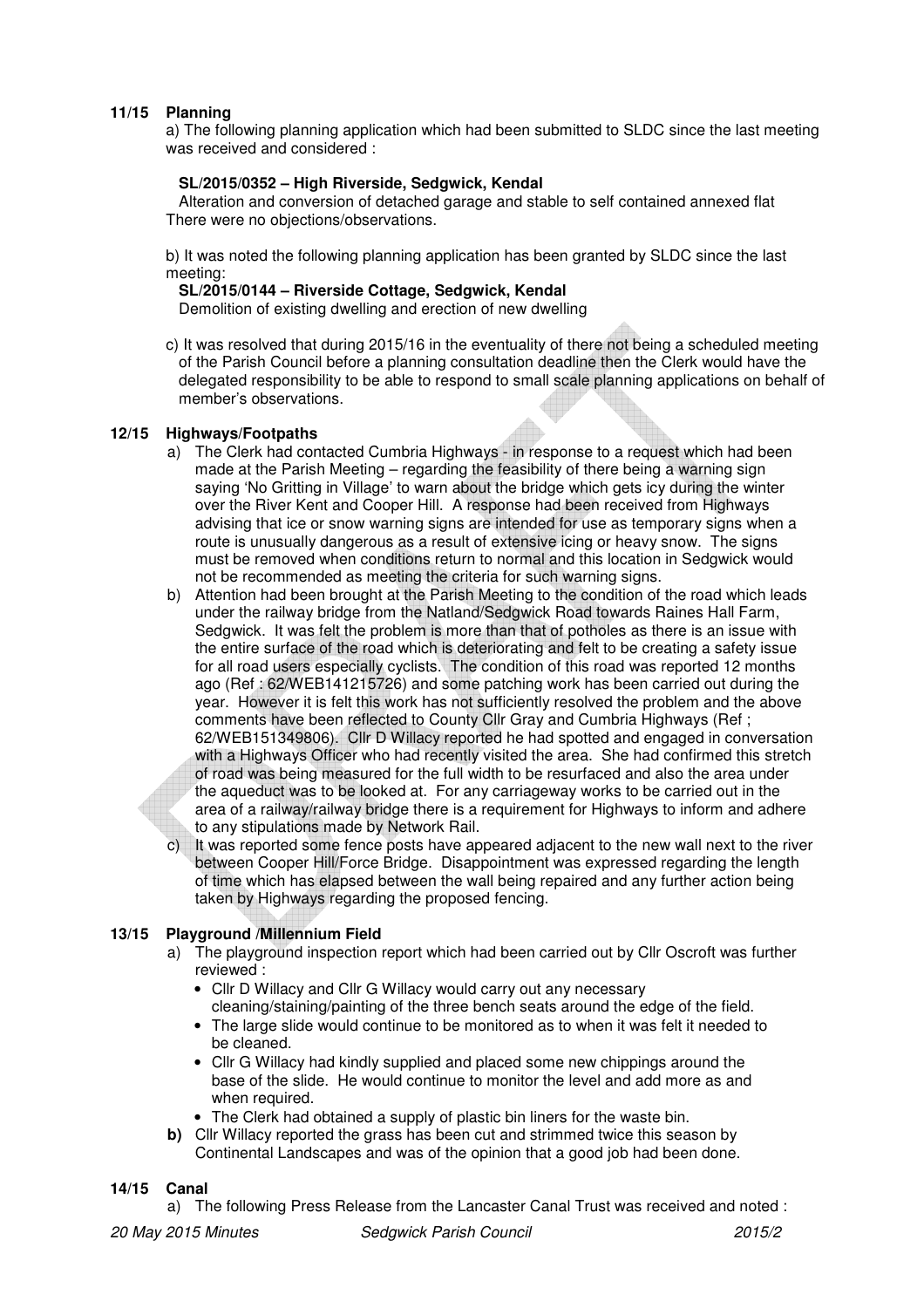# **11/15 Planning**

a) The following planning application which had been submitted to SLDC since the last meeting was received and considered :

## **SL/2015/0352 – High Riverside, Sedgwick, Kendal**

 Alteration and conversion of detached garage and stable to self contained annexed flat There were no objections/observations.

b) It was noted the following planning application has been granted by SLDC since the last meeting:

 **SL/2015/0144 – Riverside Cottage, Sedgwick, Kendal** 

Demolition of existing dwelling and erection of new dwelling

c) It was resolved that during 2015/16 in the eventuality of there not being a scheduled meeting of the Parish Council before a planning consultation deadline then the Clerk would have the delegated responsibility to be able to respond to small scale planning applications on behalf of member's observations.

## **12/15 Highways/Footpaths**

- a) The Clerk had contacted Cumbria Highways in response to a request which had been made at the Parish Meeting – regarding the feasibility of there being a warning sign saying 'No Gritting in Village' to warn about the bridge which gets icy during the winter over the River Kent and Cooper Hill. A response had been received from Highways advising that ice or snow warning signs are intended for use as temporary signs when a route is unusually dangerous as a result of extensive icing or heavy snow. The signs must be removed when conditions return to normal and this location in Sedgwick would not be recommended as meeting the criteria for such warning signs.
- b) Attention had been brought at the Parish Meeting to the condition of the road which leads under the railway bridge from the Natland/Sedgwick Road towards Raines Hall Farm, Sedgwick. It was felt the problem is more than that of potholes as there is an issue with the entire surface of the road which is deteriorating and felt to be creating a safety issue for all road users especially cyclists. The condition of this road was reported 12 months ago (Ref : 62/WEB141215726) and some patching work has been carried out during the year. However it is felt this work has not sufficiently resolved the problem and the above comments have been reflected to County Cllr Gray and Cumbria Highways (Ref ; 62/WEB151349806). Cllr D Willacy reported he had spotted and engaged in conversation with a Highways Officer who had recently visited the area. She had confirmed this stretch of road was being measured for the full width to be resurfaced and also the area under the aqueduct was to be looked at. For any carriageway works to be carried out in the area of a railway/railway bridge there is a requirement for Highways to inform and adhere to any stipulations made by Network Rail.
- It was reported some fence posts have appeared adjacent to the new wall next to the river between Cooper Hill/Force Bridge. Disappointment was expressed regarding the length of time which has elapsed between the wall being repaired and any further action being taken by Highways regarding the proposed fencing.

# **13/15 Playground /Millennium Field**

- a) The playground inspection report which had been carried out by Cllr Oscroft was further reviewed :
	- Cllr D Willacy and Cllr G Willacy would carry out any necessary cleaning/staining/painting of the three bench seats around the edge of the field.
	- The large slide would continue to be monitored as to when it was felt it needed to be cleaned.
	- Cllr G Willacy had kindly supplied and placed some new chippings around the base of the slide. He would continue to monitor the level and add more as and when required.
	- The Clerk had obtained a supply of plastic bin liners for the waste bin.
- **b)** Cllr Willacy reported the grass has been cut and strimmed twice this season by Continental Landscapes and was of the opinion that a good job had been done.

## **14/15 Canal**

a) The following Press Release from the Lancaster Canal Trust was received and noted :